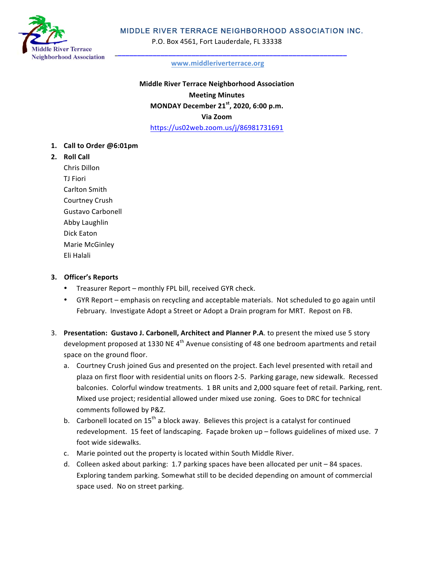

# MIDDLE RIVER TERRACE NEIGHBORHOOD ASSOCIATION INC.

P.O. Box 4561, Fort Lauderdale, FL 33338

#### **www.middleriverterrace.org**

**Middle River Terrace Neighborhood Association Meeting Minutes MONDAY December 21st, 2020, 6:00 p.m. Via Zoom** https://us02web.zoom.us/j/86981731691

- **1. Call to Order @6:01pm**
- **2. Roll Call**

Chris Dillon **TI** Fiori Carlton Smith Courtney Crush Gustavo Carbonell Abby Laughlin Dick Eaton Marie McGinley Eli Halali

## **3. Officer's Reports**

- Treasurer Report monthly FPL bill, received GYR check.
- GYR Report emphasis on recycling and acceptable materials. Not scheduled to go again until February. Investigate Adopt a Street or Adopt a Drain program for MRT. Repost on FB.
- 3. Presentation: Gustavo J. Carbonell, Architect and Planner P.A. to present the mixed use 5 story development proposed at 1330 NE 4<sup>th</sup> Avenue consisting of 48 one bedroom apartments and retail space on the ground floor.
	- a. Courtney Crush joined Gus and presented on the project. Each level presented with retail and plaza on first floor with residential units on floors 2-5. Parking garage, new sidewalk. Recessed balconies. Colorful window treatments. 1 BR units and 2,000 square feet of retail. Parking, rent. Mixed use project; residential allowed under mixed use zoning. Goes to DRC for technical comments followed by P&Z.
	- b. Carbonell located on  $15^{th}$  a block away. Believes this project is a catalyst for continued redevelopment. 15 feet of landscaping. Façade broken up – follows guidelines of mixed use. 7 foot wide sidewalks.
	- c. Marie pointed out the property is located within South Middle River.
	- d. Colleen asked about parking: 1.7 parking spaces have been allocated per unit 84 spaces. Exploring tandem parking. Somewhat still to be decided depending on amount of commercial space used. No on street parking.